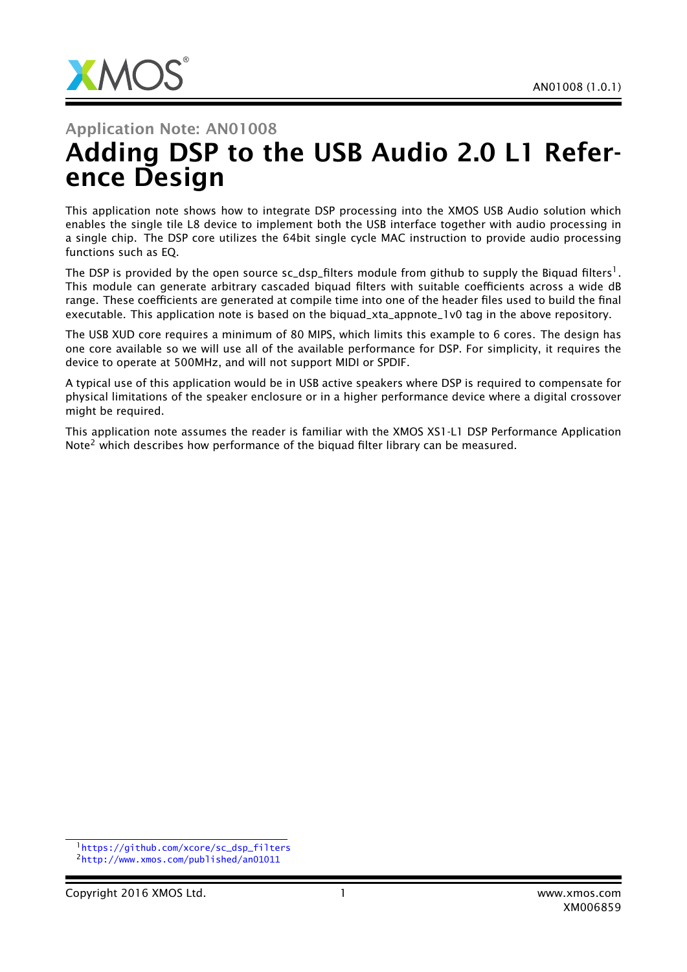

# Application Note: AN01008 Adding DSP to the USB Audio 2.0 L1 Reference Design

This application note shows how to integrate DSP processing into the XMOS USB Audio solution which enables the single tile L8 device to implement both the USB interface together with audio processing in a single chip. The DSP core utilizes the 64bit single cycle MAC instruction to provide audio processing functions such as EQ.

The DSP is provided by the open source sc\_dsp\_filters module from github to supply the Biquad filters  $^{\rm l}$  . This module can generate arbitrary cascaded biquad filters with suitable coefficients across a wide dB range. These coefficients are generated at compile time into one of the header files used to build the final executable. This application note is based on the biquad\_xta\_appnote\_1v0 tag in the above repository.

The USB XUD core requires a minimum of 80 MIPS, which limits this example to 6 cores. The design has one core available so we will use all of the available performance for DSP. For simplicity, it requires the device to operate at 500MHz, and will not support MIDI or SPDIF.

A typical use of this application would be in USB active speakers where DSP is required to compensate for physical limitations of the speaker enclosure or in a higher performance device where a digital crossover might be required.

This application note assumes the reader is familiar with the XMOS XS1-L1 DSP Performance Application Note<sup>2</sup> which describes how performance of the biquad filter library can be measured.

<sup>1</sup>[https://github.com/xcore/sc\\_dsp\\_filters](https://github.com/xcore/sc_dsp_filters) <sup>2</sup><http://www.xmos.com/published/an01011>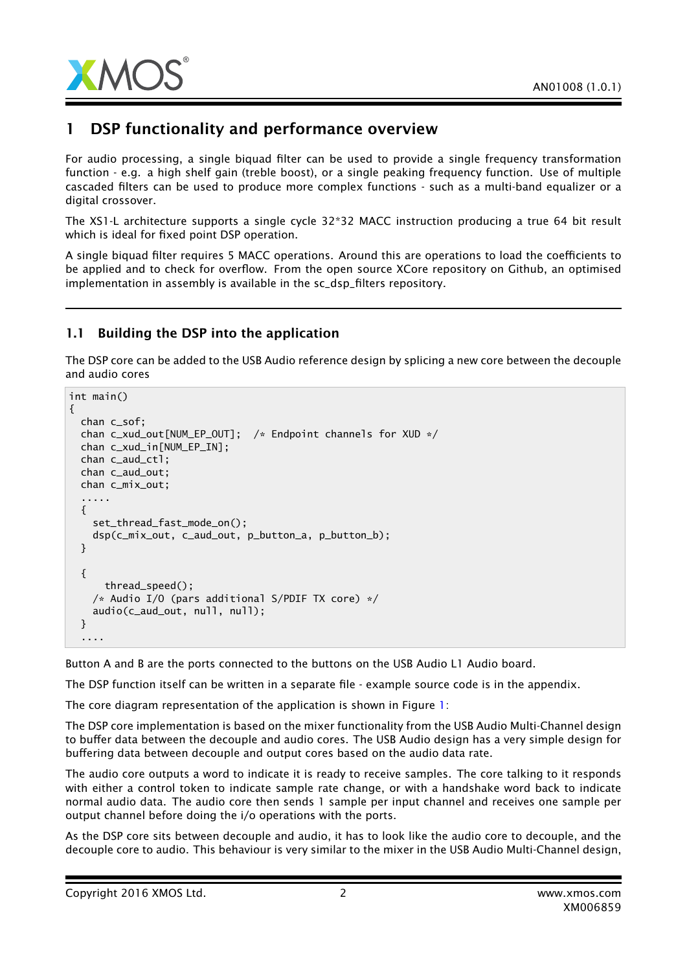

### 1 DSP functionality and performance overview

For audio processing, a single biquad filter can be used to provide a single frequency transformation function - e.g. a high shelf gain (treble boost), or a single peaking frequency function. Use of multiple cascaded filters can be used to produce more complex functions - such as a multi-band equalizer or a digital crossover.

The XS1-L architecture supports a single cycle 32\*32 MACC instruction producing a true 64 bit result which is ideal for fixed point DSP operation.

A single biquad filter requires 5 MACC operations. Around this are operations to load the coefficients to be applied and to check for overflow. From the open source XCore repository on Github, an optimised implementation in assembly is available in the sc\_dsp\_filters repository.

### 1.1 Building the DSP into the application

The DSP core can be added to the USB Audio reference design by splicing a new core between the decouple and audio cores

```
int main()
{
 chan c_sof;
 chan c_xud_out[NUM_EP_OUT]; /* Endpoint channels for XUD */
 chan c_xud_in[NUM_EP_IN];
 chan c_aud_ctl;
 chan c_aud_out;
 chan c_mix_out;
  .....
  {
    set_thread_fast_mode_on();
    dsp(c_mix_out, c_aud_out, p_button_a, p_button_b);
 }
  {
      thread_speed();
    /* Audio I/O (pars additional S/PDIF TX core) */
    audio(c_aud_out, null, null);
 }
  ....
```
Button A and B are the ports connected to the buttons on the USB Audio L1 Audio board.

The DSP function itself can be written in a separate file - example source code is in the appendix.

The core diagram representation of the application is shown in Figure [1:](#page-2-0)

The DSP core implementation is based on the mixer functionality from the USB Audio Multi-Channel design to buffer data between the decouple and audio cores. The USB Audio design has a very simple design for buffering data between decouple and output cores based on the audio data rate.

The audio core outputs a word to indicate it is ready to receive samples. The core talking to it responds with either a control token to indicate sample rate change, or with a handshake word back to indicate normal audio data. The audio core then sends 1 sample per input channel and receives one sample per output channel before doing the i/o operations with the ports.

As the DSP core sits between decouple and audio, it has to look like the audio core to decouple, and the decouple core to audio. This behaviour is very similar to the mixer in the USB Audio Multi-Channel design,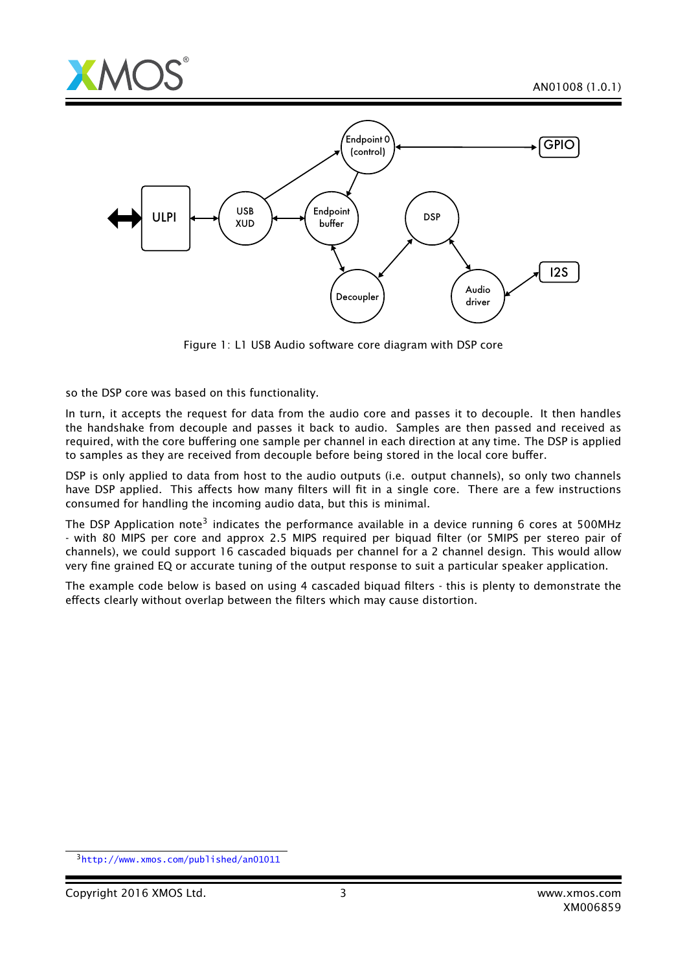



<span id="page-2-0"></span>Figure 1: L1 USB Audio software core diagram with DSP core

so the DSP core was based on this functionality.

In turn, it accepts the request for data from the audio core and passes it to decouple. It then handles the handshake from decouple and passes it back to audio. Samples are then passed and received as required, with the core buffering one sample per channel in each direction at any time. The DSP is applied to samples as they are received from decouple before being stored in the local core buffer.

DSP is only applied to data from host to the audio outputs (i.e. output channels), so only two channels have DSP applied. This affects how many filters will fit in a single core. There are a few instructions consumed for handling the incoming audio data, but this is minimal.

The DSP Application note<sup>3</sup> indicates the performance available in a device running 6 cores at 500MHz - with 80 MIPS per core and approx 2.5 MIPS required per biquad filter (or 5MIPS per stereo pair of channels), we could support 16 cascaded biquads per channel for a 2 channel design. This would allow very fine grained EQ or accurate tuning of the output response to suit a particular speaker application.

The example code below is based on using 4 cascaded biquad filters - this is plenty to demonstrate the effects clearly without overlap between the filters which may cause distortion.

<sup>3</sup><http://www.xmos.com/published/an01011>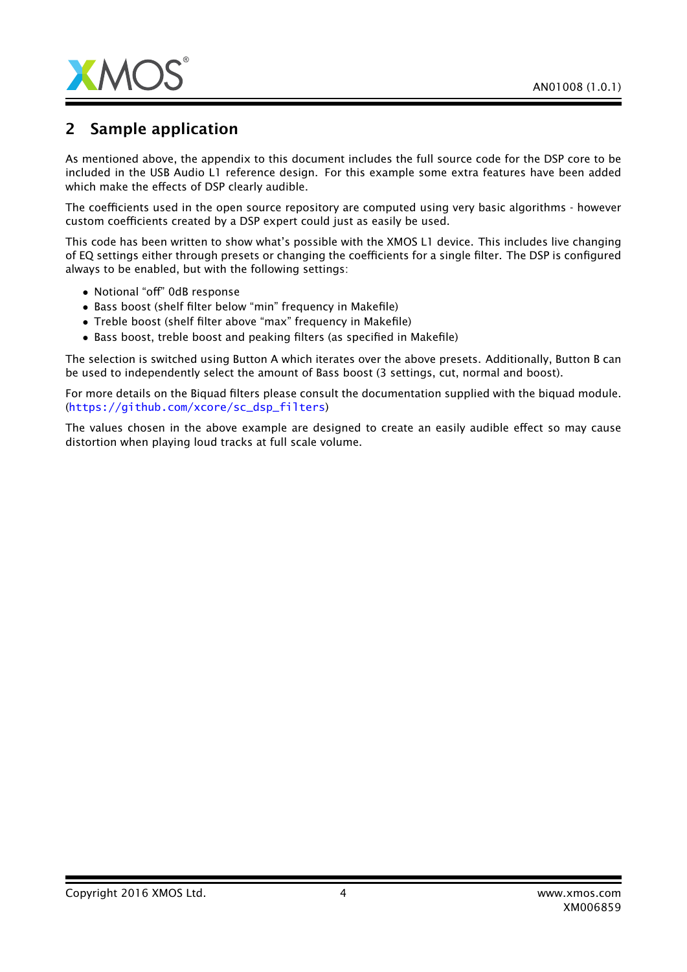

## 2 Sample application

As mentioned above, the appendix to this document includes the full source code for the DSP core to be included in the USB Audio L1 reference design. For this example some extra features have been added which make the effects of DSP clearly audible.

The coefficients used in the open source repository are computed using very basic algorithms - however custom coefficients created by a DSP expert could just as easily be used.

This code has been written to show what's possible with the XMOS L1 device. This includes live changing of EQ settings either through presets or changing the coefficients for a single filter. The DSP is configured always to be enabled, but with the following settings:

- Notional "off" 0dB response
- Bass boost (shelf filter below "min" frequency in Makefile)
- Treble boost (shelf filter above "max" frequency in Makefile)
- Bass boost, treble boost and peaking filters (as specified in Makefile)

The selection is switched using Button A which iterates over the above presets. Additionally, Button B can be used to independently select the amount of Bass boost (3 settings, cut, normal and boost).

For more details on the Biquad filters please consult the documentation supplied with the biquad module. ([https://github.com/xcore/sc\\_dsp\\_filters](https://github.com/xcore/sc_dsp_filters))

The values chosen in the above example are designed to create an easily audible effect so may cause distortion when playing loud tracks at full scale volume.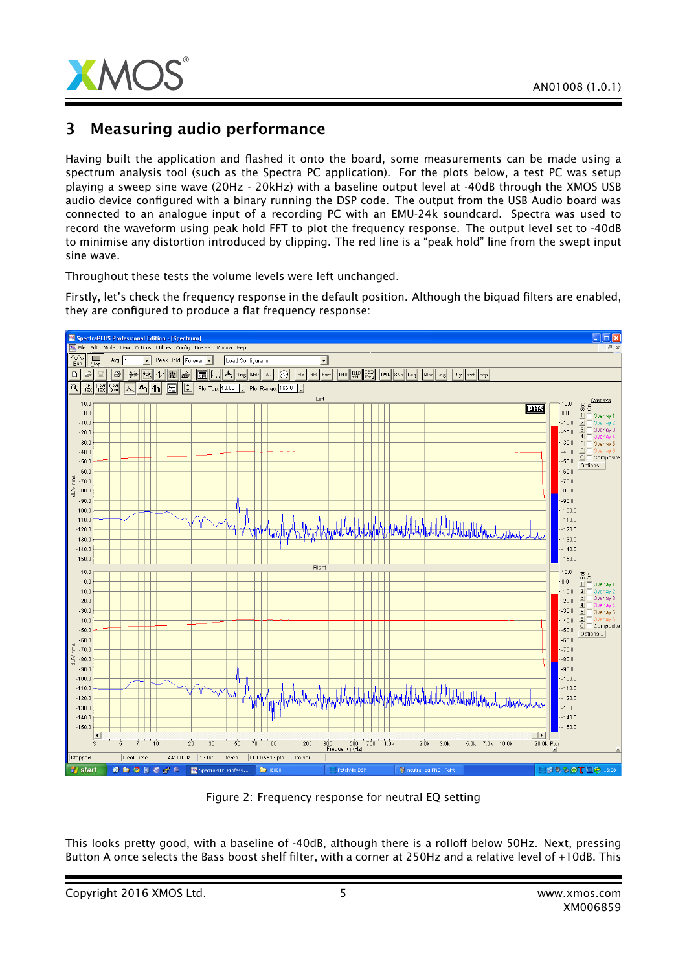

### 3 Measuring audio performance

Having built the application and flashed it onto the board, some measurements can be made using a spectrum analysis tool (such as the Spectra PC application). For the plots below, a test PC was setup playing a sweep sine wave (20Hz - 20kHz) with a baseline output level at -40dB through the XMOS USB audio device configured with a binary running the DSP code. The output from the USB Audio board was connected to an analogue input of a recording PC with an EMU-24k soundcard. Spectra was used to record the waveform using peak hold FFT to plot the frequency response. The output level set to -40dB to minimise any distortion introduced by clipping. The red line is a "peak hold" line from the swept input sine wave.

Throughout these tests the volume levels were left unchanged.

Firstly, let's check the frequency response in the default position. Although the biquad filters are enabled, they are configured to produce a flat frequency response:



Figure 2: Frequency response for neutral EQ setting

This looks pretty good, with a baseline of -40dB, although there is a rolloff below 50Hz. Next, pressing Button A once selects the Bass boost shelf filter, with a corner at 250Hz and a relative level of +10dB. This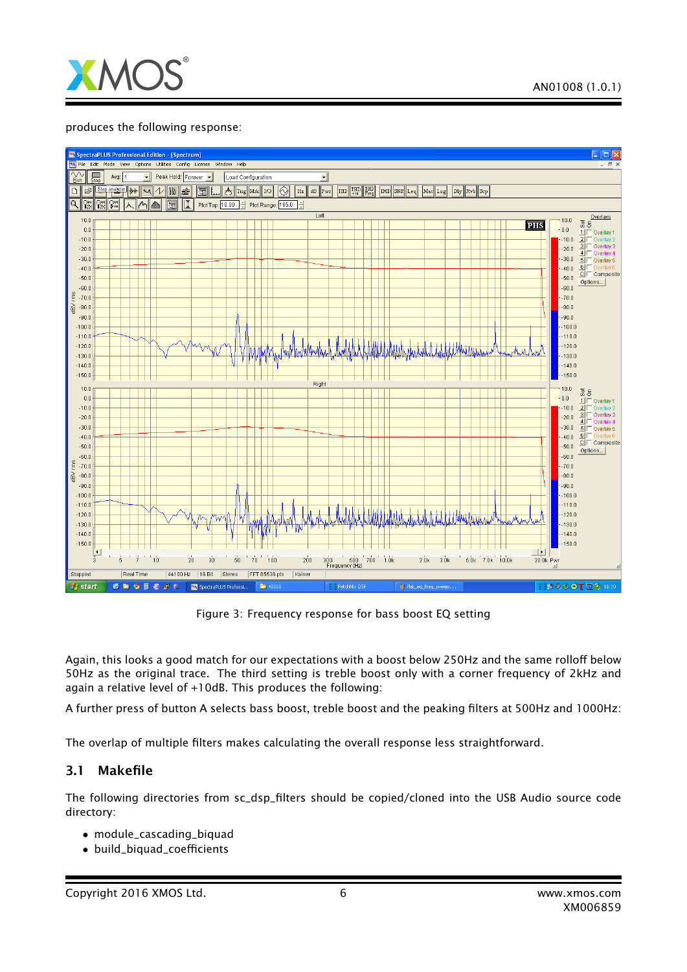

#### produces the following response:



Figure 3: Frequency response for bass boost EQ setting

Again, this looks a good match for our expectations with a boost below 250Hz and the same rolloff below 50Hz as the original trace. The third setting is treble boost only with a corner frequency of 2kHz and again a relative level of +10dB. This produces the following:

A further press of button A selects bass boost, treble boost and the peaking filters at 500Hz and 1000Hz:

The overlap of multiple filters makes calculating the overall response less straightforward.

### 3.1 Makefile

The following directories from sc\_dsp\_filters should be copied/cloned into the USB Audio source code directory:

- module\_cascading\_biquad
- build\_biquad\_coefficients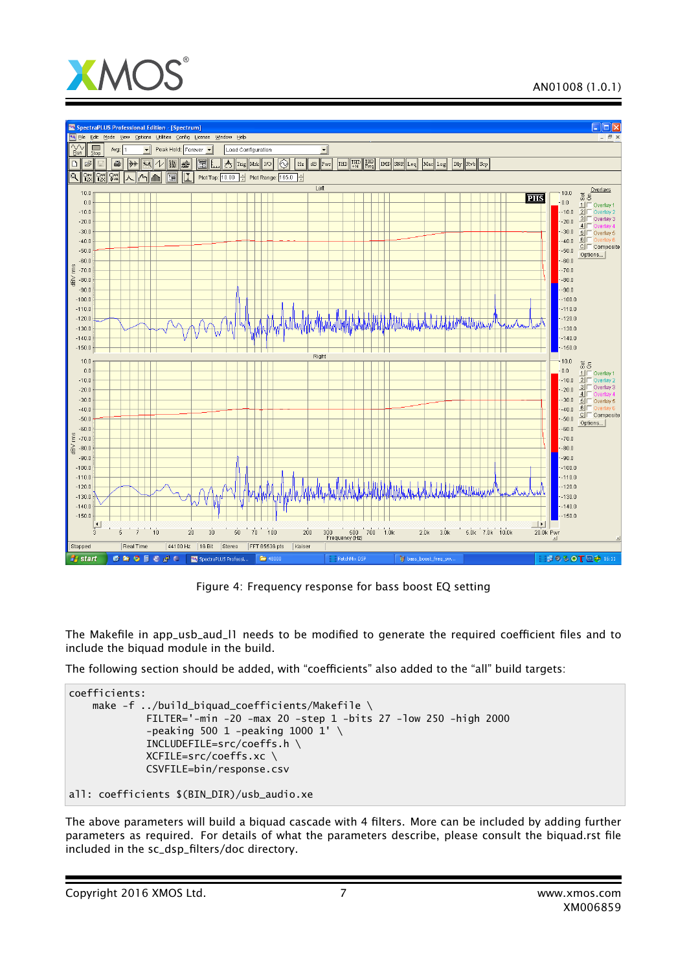



Figure 4: Frequency response for bass boost EQ setting

The Makefile in app\_usb\_aud\_l1 needs to be modified to generate the required coefficient files and to include the biquad module in the build.

The following section should be added, with "coefficients" also added to the "all" build targets:

```
coefficients:
    make -f ../build_biquad_coefficients/Makefile \
             FILTER='-min -20 -max 20 -step 1 -bits 27 -low 250 -high 2000
             -peaking 500 1 -peaking 1000 1' \setminusINCLUDEFILE=src/coeffs.h \
             XCFILE=src/coeffs.xc \
             CSVFILE=bin/response.csv
```

```
all: coefficients $(BIN_DIR)/usb_audio.xe
```
The above parameters will build a biquad cascade with 4 filters. More can be included by adding further parameters as required. For details of what the parameters describe, please consult the biquad.rst file included in the sc\_dsp\_filters/doc directory.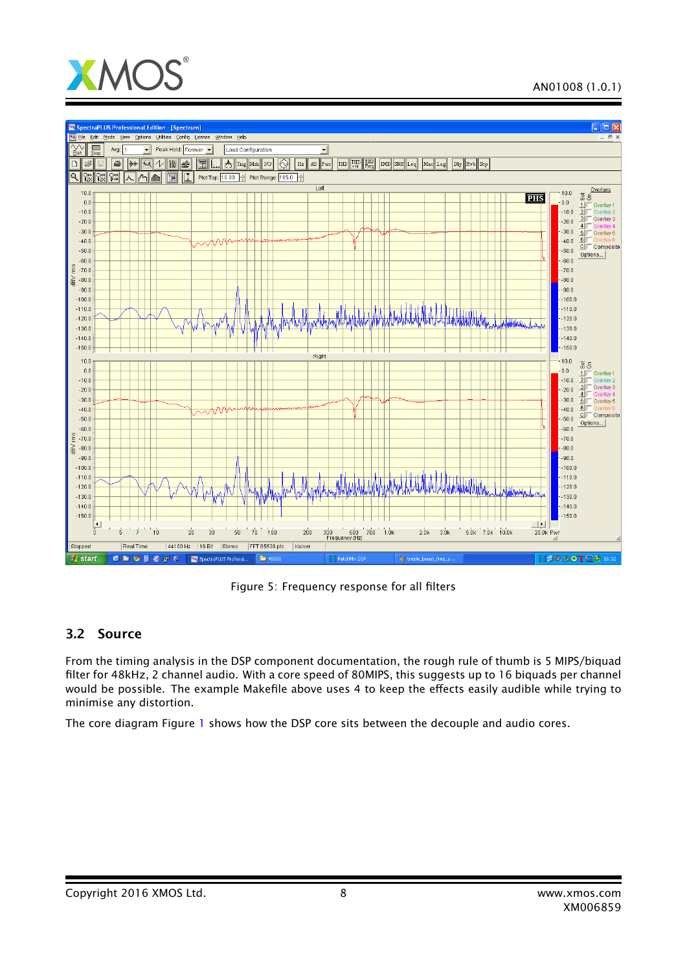



Figure 5: Frequency response for all filters

### 3.2 Source

From the timing analysis in the DSP component documentation, the rough rule of thumb is 5 MIPS/biquad filter for 48kHz, 2 channel audio. With a core speed of 80MIPS, this suggests up to 16 biquads per channel would be possible. The example Makefile above uses 4 to keep the effects easily audible while trying to minimise any distortion.

The core diagram Figure [1](#page-2-0) shows how the DSP core sits between the decouple and audio cores.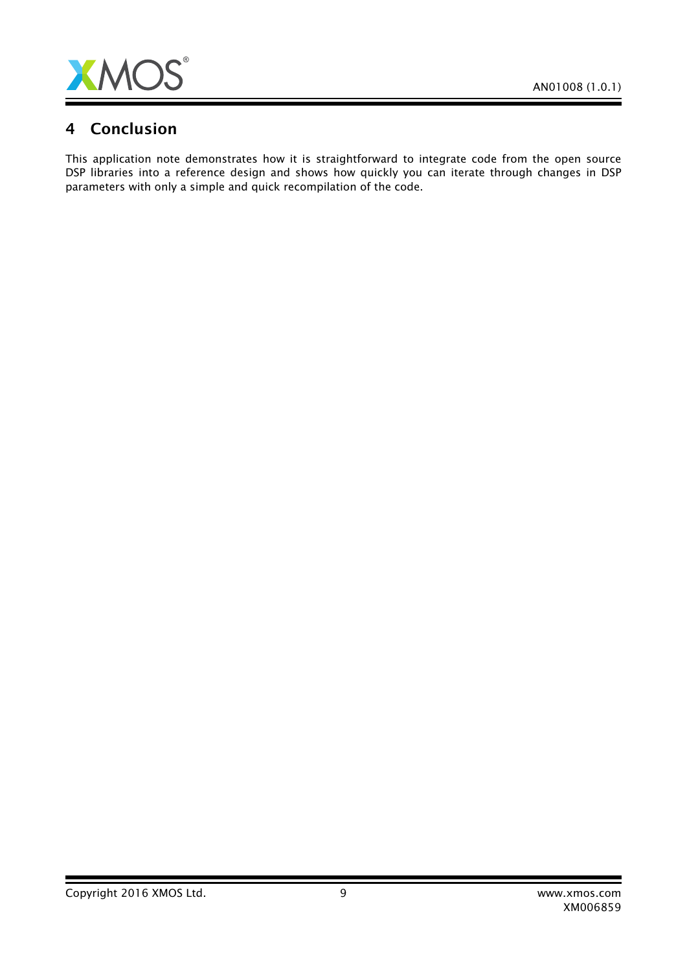

### 4 Conclusion

This application note demonstrates how it is straightforward to integrate code from the open source DSP libraries into a reference design and shows how quickly you can iterate through changes in DSP parameters with only a simple and quick recompilation of the code.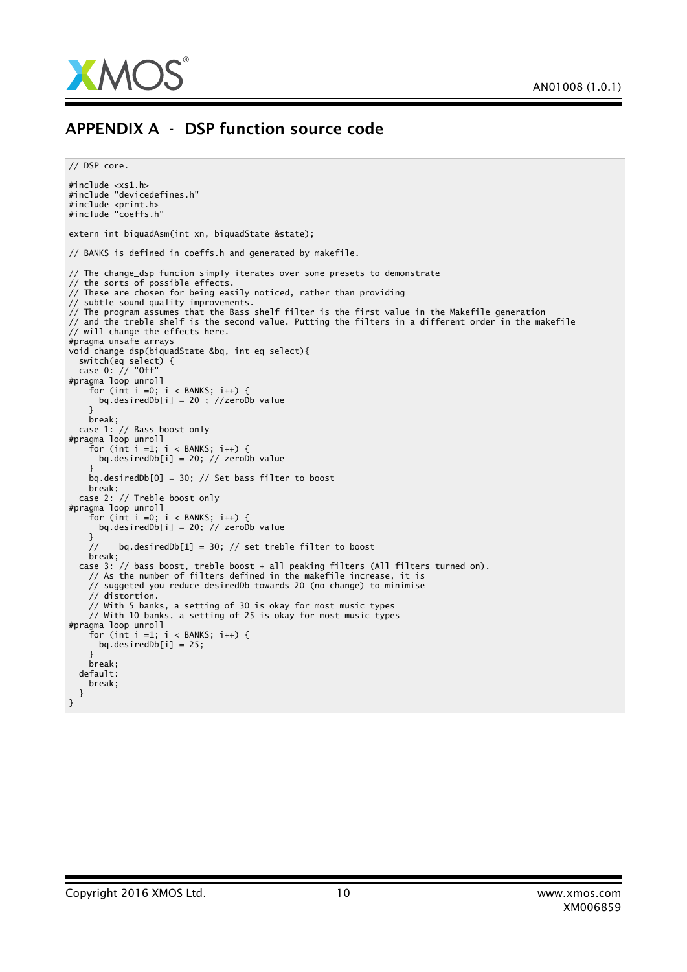

### APPENDIX A - DSP function source code

// DSP core.

```
#include <xs1.h>
#include "devicedefines.h"
#include <print.h>
#include "coeffs.h"
extern int biquadAsm(int xn, biquadState &state);
// BANKS is defined in coeffs.h and generated by makefile.
// The change_dsp funcion simply iterates over some presets to demonstrate
// the sorts of possible effects.
// These are chosen for being easily noticed, rather than providing
// subtle sound quality improvements.
// The program assumes that the Bass shelf filter is the first value in the Makefile generation
// and the treble shelf is the second value. Putting the filters in a different order in the makefile
// will change the effects here.
#pragma unsafe arrays
void change_dsp(biquadState &bq, int eq_select){
  switch(eq_select) {
  case 0: // "Off"
#pragma loop unroll
    for (int i =0; i < BANKS; i++) {
      bq.desiredDb[i] = 20 ; //zeroDb value
    }
   break;
 case 1: // Bass boost only
#pragma loop unroll
    for (int i =1; i < BANKS; i++) {
      bq.desiredDb[i] = 20; // zeroDb value
    }
    bq.desiredDb[0] = 30; // Set bass filter to boost
    break;
  case 2: // Treble boost only
#pragma loop unroll
    for (int i =0; i < BANKS; i++) {
     bq.desiredDb[i] = 20; // zeroDb value
    }
    // bq.desiredDb[1] = 30; // set treble filter to boost
    break;
  case 3: // bass boost, treble boost + all peaking filters (All filters turned on).
    // As the number of filters defined in the makefile increase, it is
    // suggeted you reduce desiredDb towards 20 (no change) to minimise
    // distortion.
    // With 5 banks, a setting of 30 is okay for most music types
    \frac{1}{4} With 10 banks, a setting of 25 is okay for most music types
#pragma loop unroll
    for (int i =1; i < BANKS; i++) {
     bq.desiredDb[i] = 25;
    }
    break;
 default:
   break;
 }
}
```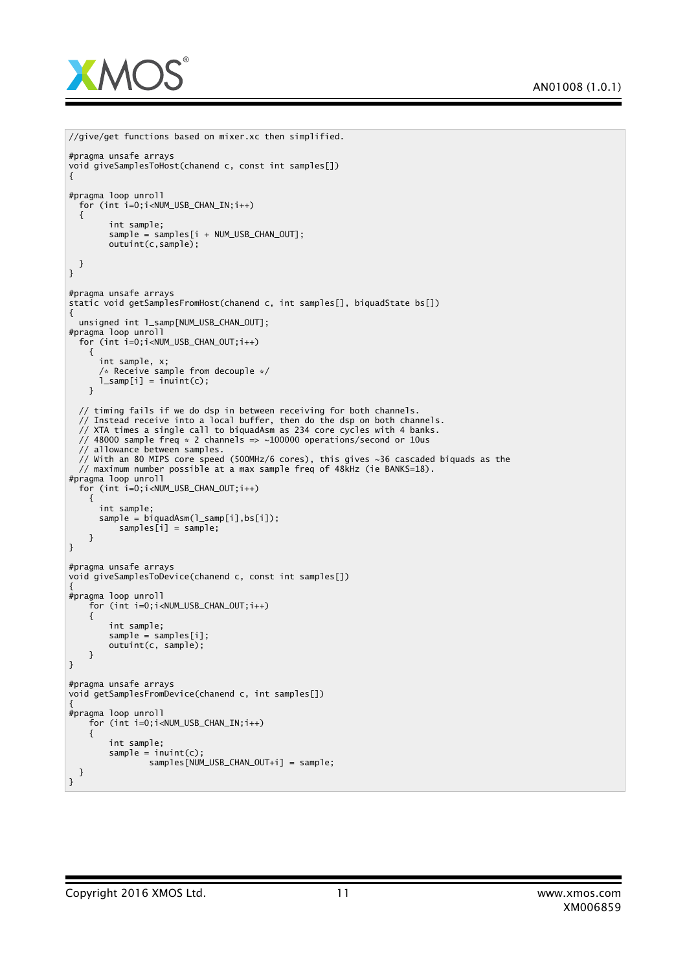

```
//give/get functions based on mixer.xc then simplified.
#pragma unsafe arrays
void giveSamplesToHost(chanend c, const int samples[])
{
#pragma loop unroll
 for (int i=0;i<NUM_USB_CHAN_IN;i++)
  {
        int sample;
        sample = samples[i + NUM_USB_CHAN_OUT];
       outuint(c,sample);
 }
}
#pragma unsafe arrays
static void getSamplesFromHost(chanend c, int samples[], biquadState bs[])
{
 unsigned int l_samp[NUM_USB_CHAN_OUT];
#pragma loop unroll
 for (int i=0;i<NUM_USB_CHAN_OUT;i++)
    {
     int sample, x;
      /* Receive sample from decouple */
      l\_sample[i] = init(t);}
  // timing fails if we do dsp in between receiving for both channels.
  // Instead receive into a local buffer, then do the dsp on both channels.
  // XTA times a single call to biquadAsm as 234 core cycles with 4 banks.
  // 48000 sample freq * 2 channels => ~100000 operations/second or 10us
 // allowance between samples.
 // With an 80 MIPS core speed (500MHz/6 cores), this gives ~36 cascaded biquads as the
 // maximum number possible at a max sample freq of 48kHz (ie BANKS=18).
#pragma loop unroll
 for (int i=0;i<NUM_USB_CHAN_OUT;i++)
    {
     int sample;
      sample = biquadAsm(l_samp[i],bs[i]);
         samples[i] = sample;}
}
#pragma unsafe arrays
void giveSamplesToDevice(chanend c, const int samples[])
{
#pragma loop unroll
   for (int i=0;i<NUM_USB_CHAN_OUT;i++)
    {
        int sample;
       sample = samples[i];
       outuint(c, sample);
   }
}
#pragma unsafe arrays
void getSamplesFromDevice(chanend c, int samples[])
{
#pragma loop unroll
    for (int i=0;i<NUM_USB_CHAN_IN;i++)
    {
       int sample;
       sample = input(c);
                samples[NUM_USB_CHAN_OUT+i] = sample;
 }
}
```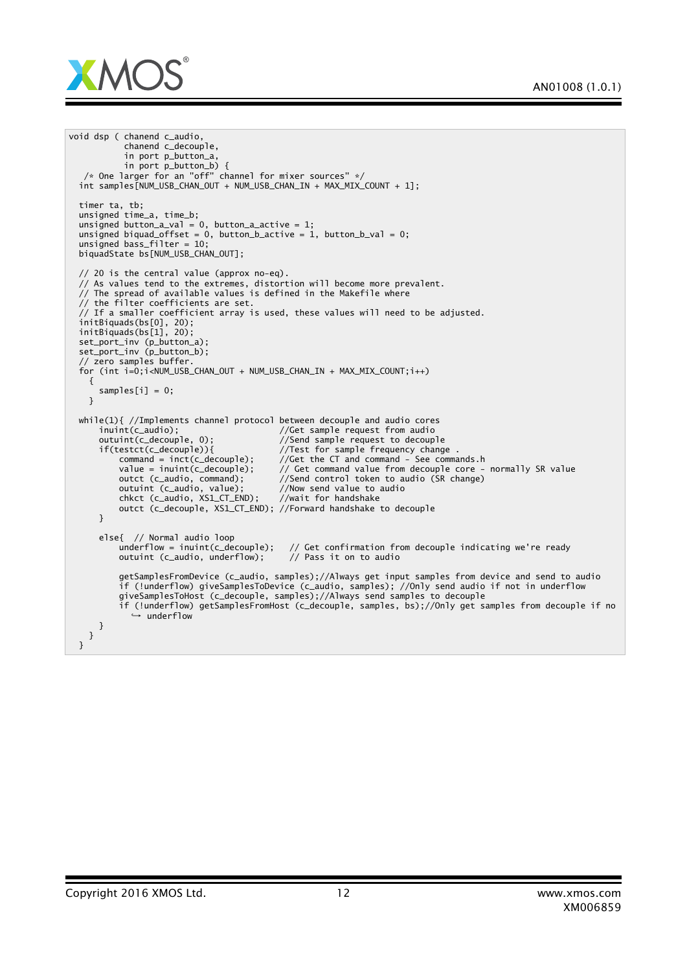

```
void dsp ( chanend c_audio,
              chanend c_decouple,
              in port p_button_a,
              in port p_button_b) {
  /* One larger for an "off" channel for mixer sources" */
int samples[NUM_USB_CHAN_OUT + NUM_USB_CHAN_IN + MAX_MIX_COUNT + 1];
  timer ta, tb;
  unsigned time_a, time_b;
  unsigned button_a_val = 0, button_a_active = 1;
  unsigned biquad_offset = 0, button_b_active = 1, button_b_val = 0;
  unsigned bass_filter = 10;
  biquadState bs[NUM_USB_CHAN_OUT];
  // 20 is the central value (approx no-eq).
  // As values tend to the extremes, distortion will become more prevalent.
  // The spread of available values is defined in the Makefile where
  // the filter coefficients are set.
  // If a smaller coefficient array is used, these values will need to be adjusted.
  initBiquads(bs[0], 20);
  initBiquads(bs[1], 20);
  set_port_inv (p_button_a);
  set_port_inv (p_button_b);
  // zero samples buffer.
  for (int i=0;i<NUM_USB_CHAN_OUT + NUM_USB_CHAN_IN + MAX_MIX_COUNT;i++)
     {
       samples[i] = 0;}
  while(1){ //Implements channel protocol between decouple and audio cores<br>inuint(c_audio); \frac{1}{100} //Get sample request from audio
       inuint(c_audio); //Get sample request from audio<br>outuint(c_decouple, 0); //Send sample request to decoupl
       outuint(c_decouple, 0); <br>if(testct(c_decouple)){ //Test for sample frequency chang
            \text{next}(c_d = c_p) : \text{next}(c_d = c_p) //Test for sample frequency change .<br>
\text{command} = \text{inct}(c_d = c_p) : //Get the CT and command - See command
            command = inc(c_decouple); //Get the CT and command - See commands.h value = inuit(c_decouple); //Get command value from decouple core -
            value = inuint(c_decouple); \frac{1}{2} Get command value from decouple core - normally SR value outct (c_audio, command); \frac{1}{2} //Send control token to audio (SR change)
            outct (c_audio, command); //Send control token to audio (SR change)<br>outuint (c_audio, value); //Now send value to audio
                                                     \frac{1}{2}/Now send value to audio<br>//wait for handshake
            chkct (c_audio, XS1_CT_END);
            outct (c_decouple, XS1_CT_END); //Forward handshake to decouple
       }
       else{ // Normal audio loop
            underflow = inuint(c_decouple); // Get confirmation from decouple indicating we're ready outuint (c_audio, underflow); // Pass it on to audio
            outuint (c_audio, underflow);
            getSamplesFromDevice (c_audio, samples);//Always get input samples from device and send to audio
            if (!underflow) giveSamplesToDevice (c_audio, samples); //Only send audio if not in underflow
            giveSamplesToHost (c_decouple, samples);//Always send samples to decouple
            if (!underflow) getSamplesFromHost (c_decouple, samples, bs);//Only get samples from decouple if no
                  ,→ underflow
       }
     }
  }
```